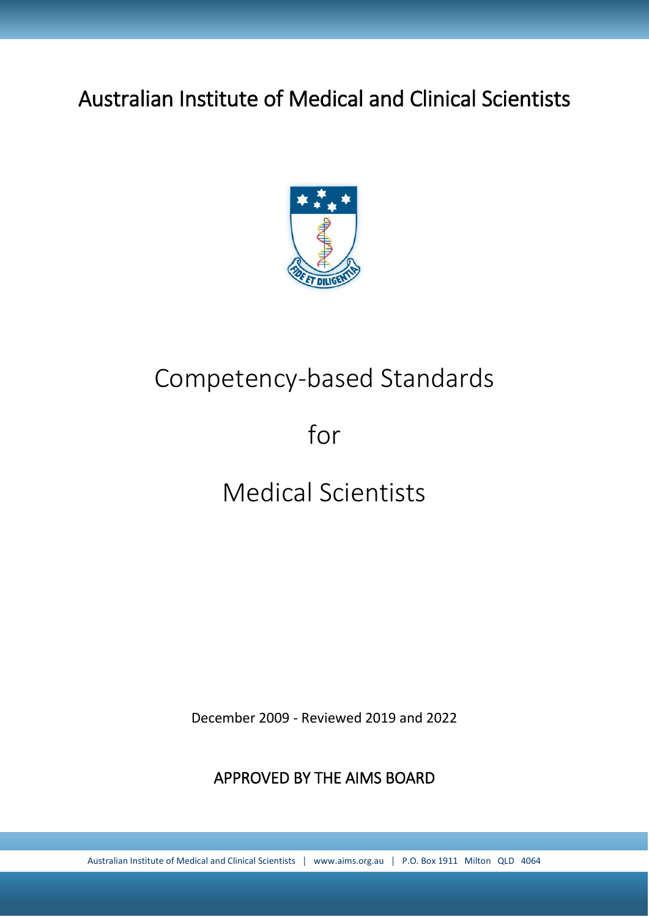# Australian Institute of Medical and Clinical Scientists



# Competency-based Standards

# for

# Medical Scientists

December 2009 - Reviewed 2019 and 2022

APPROVED BY THE AIMS BOARD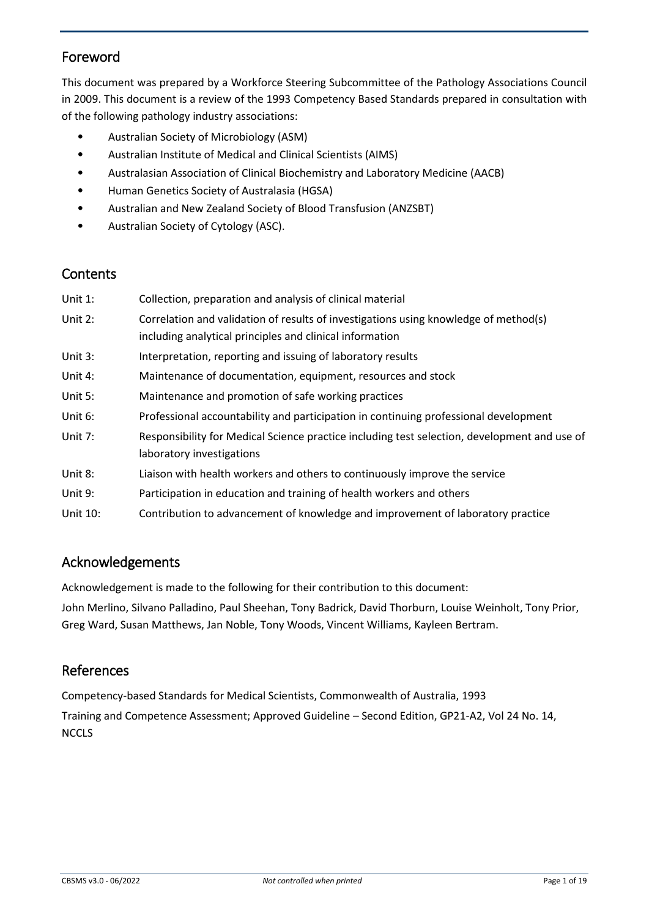# Foreword

This document was prepared by a Workforce Steering Subcommittee of the Pathology Associations Council in 2009. This document is a review of the 1993 Competency Based Standards prepared in consultation with of the following pathology industry associations:

- Australian Society of Microbiology (ASM)
- Australian Institute of Medical and Clinical Scientists (AIMS)
- Australasian Association of Clinical Biochemistry and Laboratory Medicine (AACB)
- Human Genetics Society of Australasia (HGSA)
- Australian and New Zealand Society of Blood Transfusion (ANZSBT)
- Australian Society of Cytology (ASC).

# **Contents**

| Unit $1$ : | Collection, preparation and analysis of clinical material                                                                                        |
|------------|--------------------------------------------------------------------------------------------------------------------------------------------------|
| Unit 2:    | Correlation and validation of results of investigations using knowledge of method(s)<br>including analytical principles and clinical information |
| Unit 3:    | Interpretation, reporting and issuing of laboratory results                                                                                      |
| Unit 4:    | Maintenance of documentation, equipment, resources and stock                                                                                     |
| Unit 5:    | Maintenance and promotion of safe working practices                                                                                              |
| Unit 6:    | Professional accountability and participation in continuing professional development                                                             |
| Unit 7:    | Responsibility for Medical Science practice including test selection, development and use of<br>laboratory investigations                        |
| Unit 8:    | Liaison with health workers and others to continuously improve the service                                                                       |
| Unit 9:    | Participation in education and training of health workers and others                                                                             |
| Unit 10:   | Contribution to advancement of knowledge and improvement of laboratory practice                                                                  |

# Acknowledgements

Acknowledgement is made to the following for their contribution to this document:

John Merlino, Silvano Palladino, Paul Sheehan, Tony Badrick, David Thorburn, Louise Weinholt, Tony Prior, Greg Ward, Susan Matthews, Jan Noble, Tony Woods, Vincent Williams, Kayleen Bertram.

# References

Competency-based Standards for Medical Scientists, Commonwealth of Australia, 1993 Training and Competence Assessment; Approved Guideline – Second Edition, GP21-A2, Vol 24 No. 14, **NCCLS**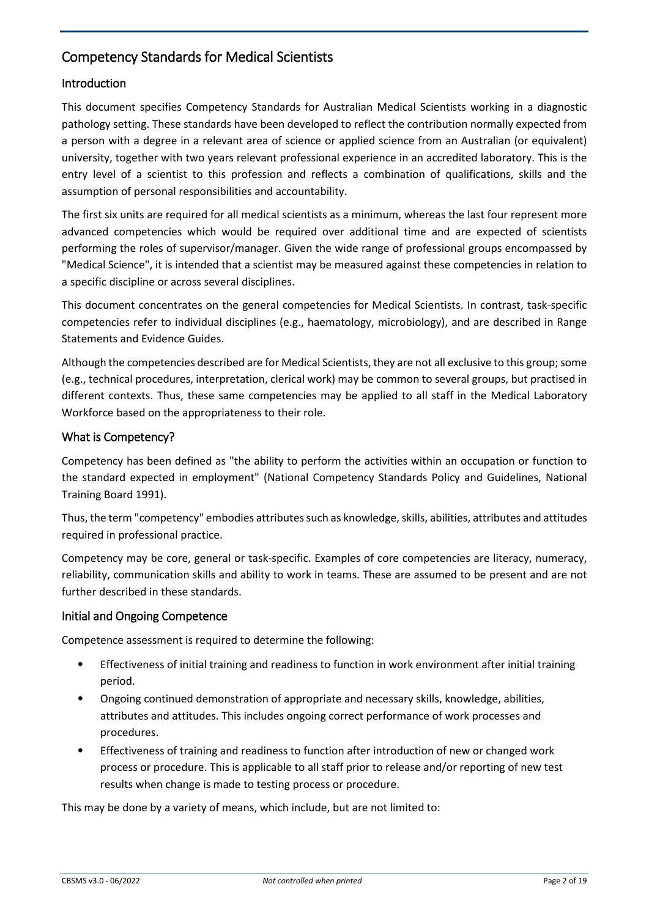# Competency Standards for Medical Scientists

# Introduction

This document specifies Competency Standards for Australian Medical Scientists working in a diagnostic pathology setting. These standards have been developed to reflect the contribution normally expected from a person with a degree in a relevant area of science or applied science from an Australian (or equivalent) university, together with two years relevant professional experience in an accredited laboratory. This is the entry level of a scientist to this profession and reflects a combination of qualifications, skills and the assumption of personal responsibilities and accountability.

The first six units are required for all medical scientists as a minimum, whereas the last four represent more advanced competencies which would be required over additional time and are expected of scientists performing the roles of supervisor/manager. Given the wide range of professional groups encompassed by "Medical Science", it is intended that a scientist may be measured against these competencies in relation to a specific discipline or across several disciplines.

This document concentrates on the general competencies for Medical Scientists. In contrast, task-specific competencies refer to individual disciplines (e.g., haematology, microbiology), and are described in Range Statements and Evidence Guides.

Although the competencies described are for Medical Scientists, they are not all exclusive to this group; some (e.g., technical procedures, interpretation, clerical work) may be common to several groups, but practised in different contexts. Thus, these same competencies may be applied to all staff in the Medical Laboratory Workforce based on the appropriateness to their role.

# What is Competency?

Competency has been defined as "the ability to perform the activities within an occupation or function to the standard expected in employment" (National Competency Standards Policy and Guidelines, National Training Board 1991).

Thus, the term "competency" embodies attributes such as knowledge, skills, abilities, attributes and attitudes required in professional practice.

Competency may be core, general or task-specific. Examples of core competencies are literacy, numeracy, reliability, communication skills and ability to work in teams. These are assumed to be present and are not further described in these standards.

# Initial and Ongoing Competence

Competence assessment is required to determine the following:

- Effectiveness of initial training and readiness to function in work environment after initial training period.
- Ongoing continued demonstration of appropriate and necessary skills, knowledge, abilities, attributes and attitudes. This includes ongoing correct performance of work processes and procedures.
- Effectiveness of training and readiness to function after introduction of new or changed work process or procedure. This is applicable to all staff prior to release and/or reporting of new test results when change is made to testing process or procedure.

This may be done by a variety of means, which include, but are not limited to: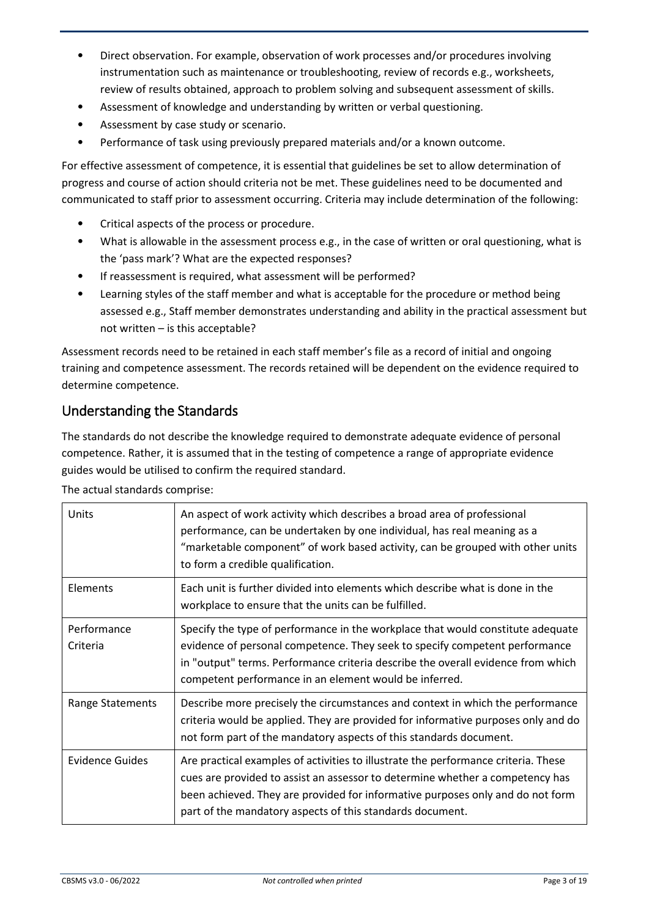- Direct observation. For example, observation of work processes and/or procedures involving instrumentation such as maintenance or troubleshooting, review of records e.g., worksheets, review of results obtained, approach to problem solving and subsequent assessment of skills.
- Assessment of knowledge and understanding by written or verbal questioning.
- Assessment by case study or scenario.
- Performance of task using previously prepared materials and/or a known outcome.

For effective assessment of competence, it is essential that guidelines be set to allow determination of progress and course of action should criteria not be met. These guidelines need to be documented and communicated to staff prior to assessment occurring. Criteria may include determination of the following:

- Critical aspects of the process or procedure.
- What is allowable in the assessment process e.g., in the case of written or oral questioning, what is the 'pass mark'? What are the expected responses?
- If reassessment is required, what assessment will be performed?
- Learning styles of the staff member and what is acceptable for the procedure or method being assessed e.g., Staff member demonstrates understanding and ability in the practical assessment but not written – is this acceptable?

Assessment records need to be retained in each staff member's file as a record of initial and ongoing training and competence assessment. The records retained will be dependent on the evidence required to determine competence.

# Understanding the Standards

The standards do not describe the knowledge required to demonstrate adequate evidence of personal competence. Rather, it is assumed that in the testing of competence a range of appropriate evidence guides would be utilised to confirm the required standard.

| Units                   | An aspect of work activity which describes a broad area of professional<br>performance, can be undertaken by one individual, has real meaning as a<br>"marketable component" of work based activity, can be grouped with other units<br>to form a credible qualification.                                          |
|-------------------------|--------------------------------------------------------------------------------------------------------------------------------------------------------------------------------------------------------------------------------------------------------------------------------------------------------------------|
| Elements                | Each unit is further divided into elements which describe what is done in the<br>workplace to ensure that the units can be fulfilled.                                                                                                                                                                              |
| Performance<br>Criteria | Specify the type of performance in the workplace that would constitute adequate<br>evidence of personal competence. They seek to specify competent performance<br>in "output" terms. Performance criteria describe the overall evidence from which<br>competent performance in an element would be inferred.       |
| Range Statements        | Describe more precisely the circumstances and context in which the performance<br>criteria would be applied. They are provided for informative purposes only and do<br>not form part of the mandatory aspects of this standards document.                                                                          |
| <b>Evidence Guides</b>  | Are practical examples of activities to illustrate the performance criteria. These<br>cues are provided to assist an assessor to determine whether a competency has<br>been achieved. They are provided for informative purposes only and do not form<br>part of the mandatory aspects of this standards document. |

The actual standards comprise: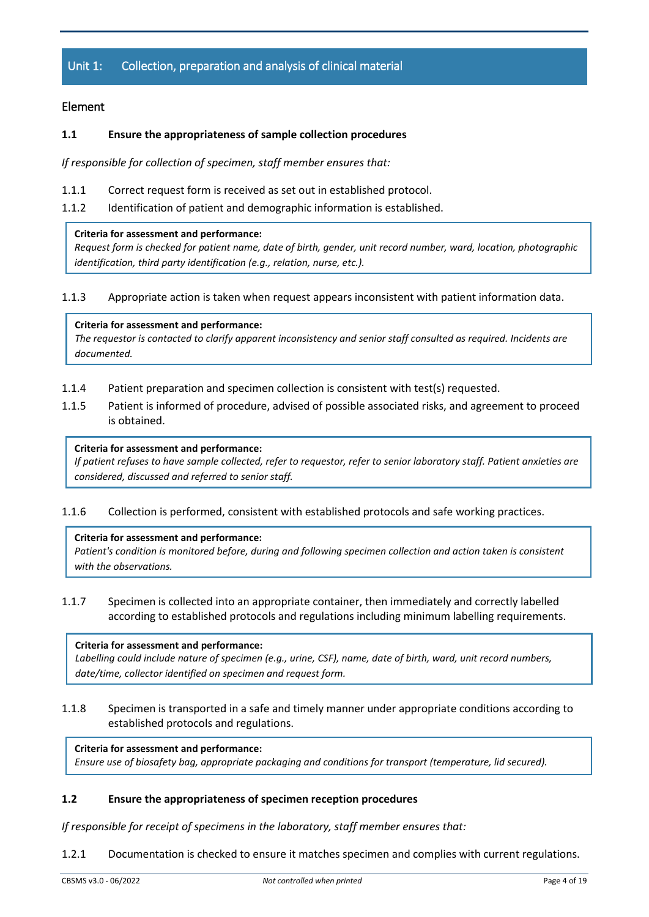# Unit 1: Collection, preparation and analysis of clinical material

# Element

## **1.1 Ensure the appropriateness of sample collection procedures**

*If responsible for collection of specimen, staff member ensures that:*

- 1.1.1 Correct request form is received as set out in established protocol.
- 1.1.2 Identification of patient and demographic information is established.

#### **Criteria for assessment and performance:**

*Request form is checked for patient name, date of birth, gender, unit record number, ward, location, photographic identification, third party identification (e.g., relation, nurse, etc.).*

1.1.3 Appropriate action is taken when request appears inconsistent with patient information data.

#### **Criteria for assessment and performance:**

*The requestor is contacted to clarify apparent inconsistency and senior staff consulted as required. Incidents are documented.*

- 1.1.4 Patient preparation and specimen collection is consistent with test(s) requested.
- 1.1.5 Patient is informed of procedure, advised of possible associated risks, and agreement to proceed is obtained.

#### **Criteria for assessment and performance:**

*If patient refuses to have sample collected, refer to requestor, refer to senior laboratory staff. Patient anxieties are considered, discussed and referred to senior staff.*

1.1.6 Collection is performed, consistent with established protocols and safe working practices.

#### **Criteria for assessment and performance:**

*Patient's condition is monitored before, during and following specimen collection and action taken is consistent with the observations.*

1.1.7 Specimen is collected into an appropriate container, then immediately and correctly labelled according to established protocols and regulations including minimum labelling requirements.

#### **Criteria for assessment and performance:**

*Labelling could include nature of specimen (e.g., urine, CSF), name, date of birth, ward, unit record numbers, date/time, collector identified on specimen and request form.*

1.1.8 Specimen is transported in a safe and timely manner under appropriate conditions according to established protocols and regulations.

**Criteria for assessment and performance:** *Ensure use of biosafety bag, appropriate packaging and conditions for transport (temperature, lid secured).*

# **1.2 Ensure the appropriateness of specimen reception procedures**

*If responsible for receipt of specimens in the laboratory, staff member ensures that:*

1.2.1 Documentation is checked to ensure it matches specimen and complies with current regulations.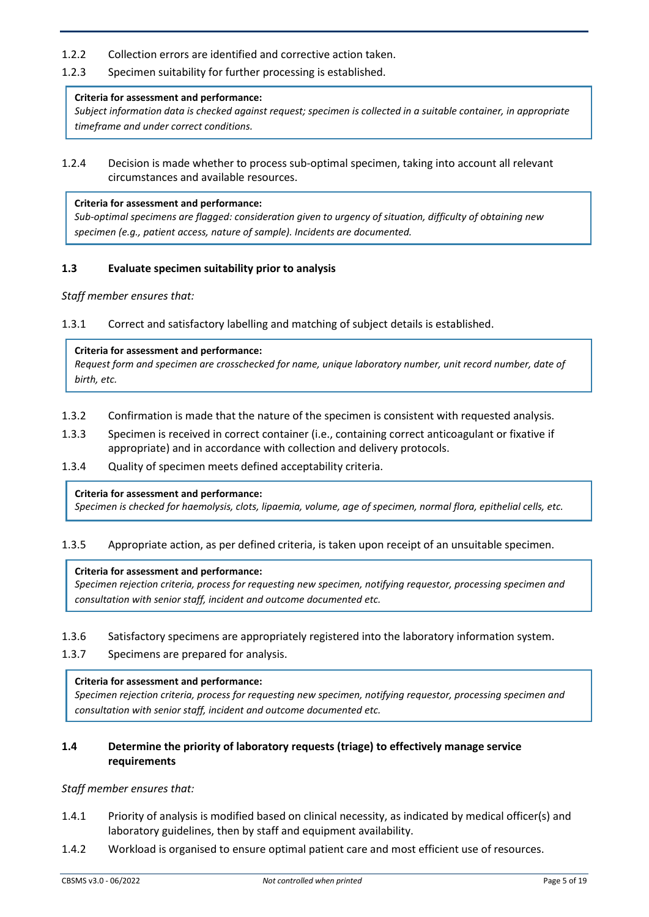- 1.2.2 Collection errors are identified and corrective action taken.
- 1.2.3 Specimen suitability for further processing is established.

# **Criteria for assessment and performance:**

*Subject information data is checked against request; specimen is collected in a suitable container, in appropriate timeframe and under correct conditions.*

1.2.4 Decision is made whether to process sub-optimal specimen, taking into account all relevant circumstances and available resources.

#### **Criteria for assessment and performance:**

*Sub-optimal specimens are flagged: consideration given to urgency of situation, difficulty of obtaining new specimen (e.g., patient access, nature of sample). Incidents are documented.*

#### **1.3 Evaluate specimen suitability prior to analysis**

*Staff member ensures that:*

1.3.1 Correct and satisfactory labelling and matching of subject details is established.

#### **Criteria for assessment and performance:**

*Request form and specimen are crosschecked for name, unique laboratory number, unit record number, date of birth, etc.*

- 1.3.2 Confirmation is made that the nature of the specimen is consistent with requested analysis.
- 1.3.3 Specimen is received in correct container (i.e., containing correct anticoagulant or fixative if appropriate) and in accordance with collection and delivery protocols.
- 1.3.4 Quality of specimen meets defined acceptability criteria.

#### **Criteria for assessment and performance:**

*Specimen is checked for haemolysis, clots, lipaemia, volume, age of specimen, normal flora, epithelial cells, etc.*

1.3.5 Appropriate action, as per defined criteria, is taken upon receipt of an unsuitable specimen.

#### **Criteria for assessment and performance:**

*Specimen rejection criteria, process for requesting new specimen, notifying requestor, processing specimen and consultation with senior staff, incident and outcome documented etc.*

- 1.3.6 Satisfactory specimens are appropriately registered into the laboratory information system.
- 1.3.7 Specimens are prepared for analysis.

#### **Criteria for assessment and performance:**

*Specimen rejection criteria, process for requesting new specimen, notifying requestor, processing specimen and consultation with senior staff, incident and outcome documented etc.*

# **1.4 Determine the priority of laboratory requests (triage) to effectively manage service requirements**

- 1.4.1 Priority of analysis is modified based on clinical necessity, as indicated by medical officer(s) and laboratory guidelines, then by staff and equipment availability.
- 1.4.2 Workload is organised to ensure optimal patient care and most efficient use of resources.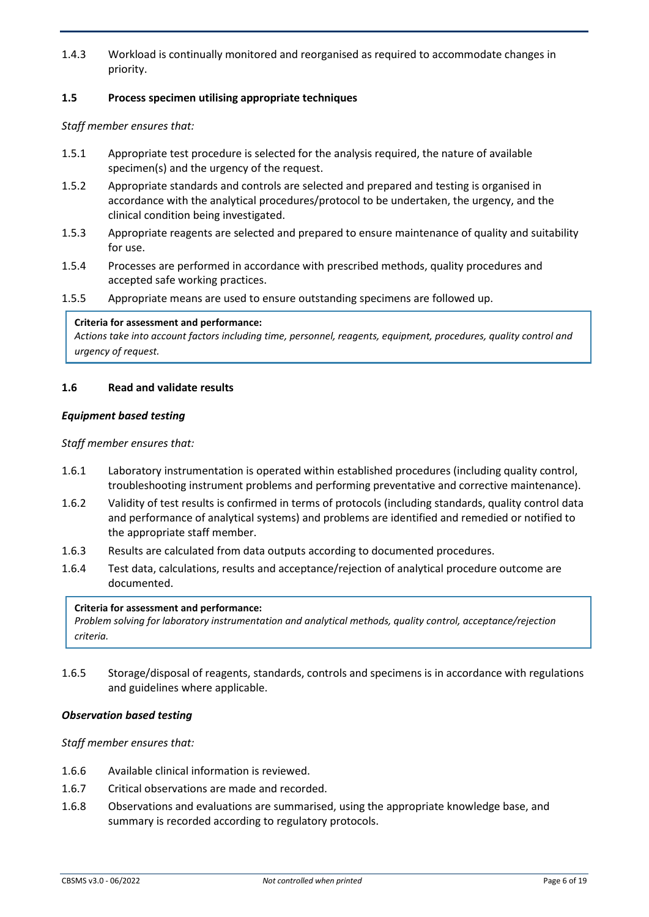1.4.3 Workload is continually monitored and reorganised as required to accommodate changes in priority.

# **1.5 Process specimen utilising appropriate techniques**

*Staff member ensures that:*

- 1.5.1 Appropriate test procedure is selected for the analysis required, the nature of available specimen(s) and the urgency of the request.
- 1.5.2 Appropriate standards and controls are selected and prepared and testing is organised in accordance with the analytical procedures/protocol to be undertaken, the urgency, and the clinical condition being investigated.
- 1.5.3 Appropriate reagents are selected and prepared to ensure maintenance of quality and suitability for use.
- 1.5.4 Processes are performed in accordance with prescribed methods, quality procedures and accepted safe working practices.
- 1.5.5 Appropriate means are used to ensure outstanding specimens are followed up.

#### **Criteria for assessment and performance:**

*Actions take into account factors including time, personnel, reagents, equipment, procedures, quality control and urgency of request.*

#### **1.6 Read and validate results**

#### *Equipment based testing*

*Staff member ensures that:*

- 1.6.1 Laboratory instrumentation is operated within established procedures (including quality control, troubleshooting instrument problems and performing preventative and corrective maintenance).
- 1.6.2 Validity of test results is confirmed in terms of protocols (including standards, quality control data and performance of analytical systems) and problems are identified and remedied or notified to the appropriate staff member.
- 1.6.3 Results are calculated from data outputs according to documented procedures.
- 1.6.4 Test data, calculations, results and acceptance/rejection of analytical procedure outcome are documented.

#### **Criteria for assessment and performance:**

*Problem solving for laboratory instrumentation and analytical methods, quality control, acceptance/rejection criteria.*

1.6.5 Storage/disposal of reagents, standards, controls and specimens is in accordance with regulations and guidelines where applicable.

#### *Observation based testing*

- 1.6.6 Available clinical information is reviewed.
- 1.6.7 Critical observations are made and recorded.
- 1.6.8 Observations and evaluations are summarised, using the appropriate knowledge base, and summary is recorded according to regulatory protocols.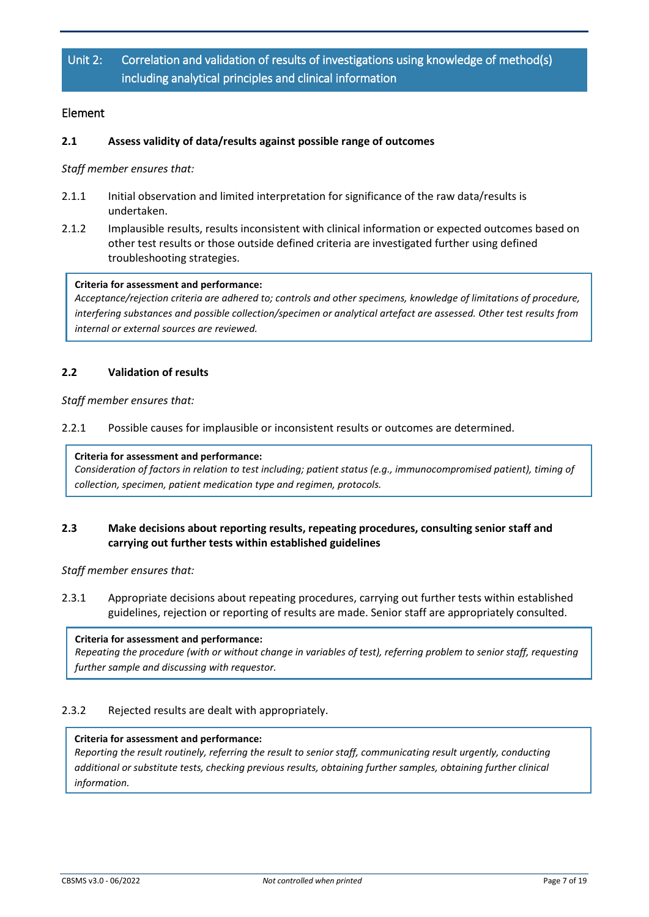# Unit 2: Correlation and validation of results of investigations using knowledge of method(s) including analytical principles and clinical information

# Element

# **2.1 Assess validity of data/results against possible range of outcomes**

*Staff member ensures that:*

- 2.1.1 Initial observation and limited interpretation for significance of the raw data/results is undertaken.
- 2.1.2 Implausible results, results inconsistent with clinical information or expected outcomes based on other test results or those outside defined criteria are investigated further using defined troubleshooting strategies.

#### **Criteria for assessment and performance:**

*Acceptance/rejection criteria are adhered to; controls and other specimens, knowledge of limitations of procedure, interfering substances and possible collection/specimen or analytical artefact are assessed. Other test results from internal or external sources are reviewed.*

# **2.2 Validation of results**

*Staff member ensures that:*

2.2.1 Possible causes for implausible or inconsistent results or outcomes are determined.

#### **Criteria for assessment and performance:**

*Consideration of factors in relation to test including; patient status (e.g., immunocompromised patient), timing of collection, specimen, patient medication type and regimen, protocols.*

# **2.3 Make decisions about reporting results, repeating procedures, consulting senior staff and carrying out further tests within established guidelines**

*Staff member ensures that:*

2.3.1 Appropriate decisions about repeating procedures, carrying out further tests within established guidelines, rejection or reporting of results are made. Senior staff are appropriately consulted.

#### **Criteria for assessment and performance:**

*Repeating the procedure (with or without change in variables of test), referring problem to senior staff, requesting further sample and discussing with requestor.*

# 2.3.2 Rejected results are dealt with appropriately.

#### **Criteria for assessment and performance:**

*Reporting the result routinely, referring the result to senior staff, communicating result urgently, conducting additional or substitute tests, checking previous results, obtaining further samples, obtaining further clinical information.*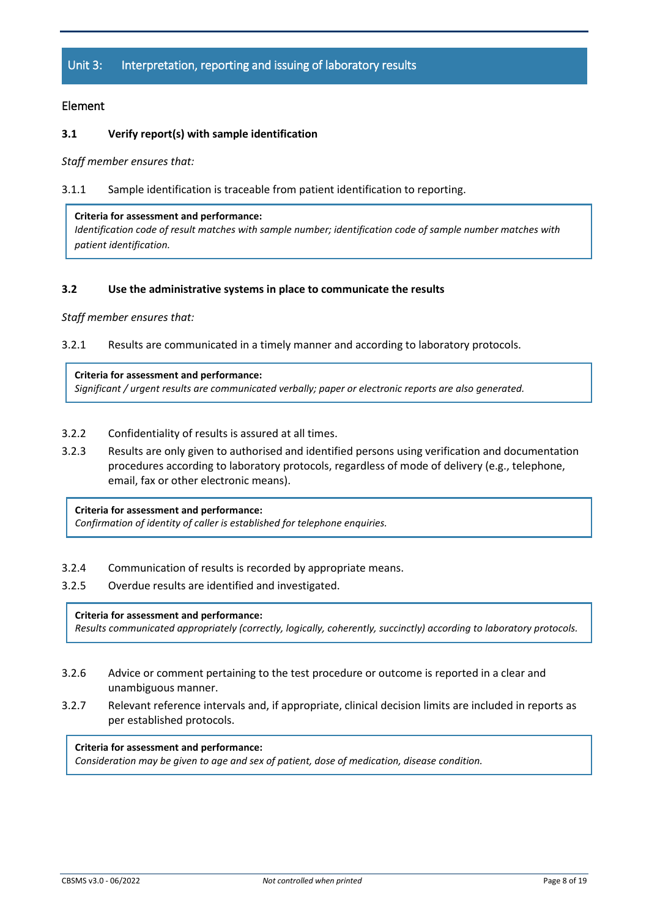# Unit 3: Interpretation, reporting and issuing of laboratory results

# Element

# **3.1 Verify report(s) with sample identification**

*Staff member ensures that:*

#### 3.1.1 Sample identification is traceable from patient identification to reporting.

#### **Criteria for assessment and performance:**

*Identification code of result matches with sample number; identification code of sample number matches with patient identification.*

#### **3.2 Use the administrative systems in place to communicate the results**

*Staff member ensures that:*

3.2.1 Results are communicated in a timely manner and according to laboratory protocols.

#### **Criteria for assessment and performance:**

*Significant / urgent results are communicated verbally; paper or electronic reports are also generated.*

- 3.2.2 Confidentiality of results is assured at all times.
- 3.2.3 Results are only given to authorised and identified persons using verification and documentation procedures according to laboratory protocols, regardless of mode of delivery (e.g., telephone, email, fax or other electronic means).

#### **Criteria for assessment and performance:**

*Confirmation of identity of caller is established for telephone enquiries.*

- 3.2.4 Communication of results is recorded by appropriate means.
- 3.2.5 Overdue results are identified and investigated.

#### **Criteria for assessment and performance:**

*Results communicated appropriately (correctly, logically, coherently, succinctly) according to laboratory protocols.*

- 3.2.6 Advice or comment pertaining to the test procedure or outcome is reported in a clear and unambiguous manner.
- 3.2.7 Relevant reference intervals and, if appropriate, clinical decision limits are included in reports as per established protocols.

**Criteria for assessment and performance:** *Consideration may be given to age and sex of patient, dose of medication, disease condition.*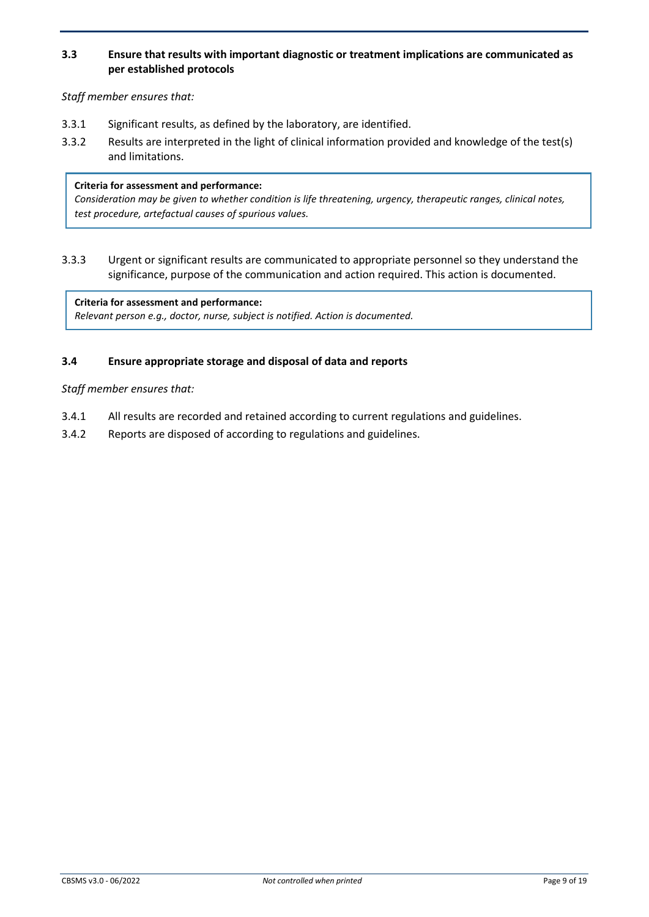# **3.3 Ensure that results with important diagnostic or treatment implications are communicated as per established protocols**

*Staff member ensures that:* 

- 3.3.1 Significant results, as defined by the laboratory, are identified.
- 3.3.2 Results are interpreted in the light of clinical information provided and knowledge of the test(s) and limitations.

#### **Criteria for assessment and performance:**

*Consideration may be given to whether condition is life threatening, urgency, therapeutic ranges, clinical notes, test procedure, artefactual causes of spurious values.*

3.3.3 Urgent or significant results are communicated to appropriate personnel so they understand the significance, purpose of the communication and action required. This action is documented.

**Criteria for assessment and performance:** *Relevant person e.g., doctor, nurse, subject is notified. Action is documented.*

# **3.4 Ensure appropriate storage and disposal of data and reports**

- 3.4.1 All results are recorded and retained according to current regulations and guidelines.
- 3.4.2 Reports are disposed of according to regulations and guidelines.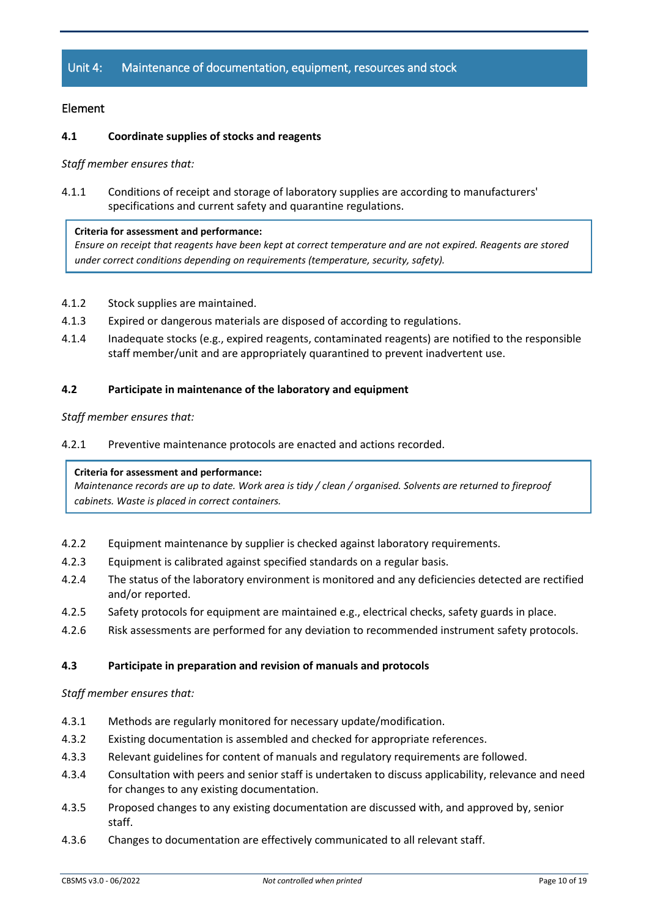# Unit 4: Maintenance of documentation, equipment, resources and stock

# Element

# **4.1 Coordinate supplies of stocks and reagents**

*Staff member ensures that:*

4.1.1 Conditions of receipt and storage of laboratory supplies are according to manufacturers' specifications and current safety and quarantine regulations.

#### **Criteria for assessment and performance:**

*Ensure on receipt that reagents have been kept at correct temperature and are not expired. Reagents are stored under correct conditions depending on requirements (temperature, security, safety).*

- 4.1.2 Stock supplies are maintained.
- 4.1.3 Expired or dangerous materials are disposed of according to regulations.
- 4.1.4 Inadequate stocks (e.g., expired reagents, contaminated reagents) are notified to the responsible staff member/unit and are appropriately quarantined to prevent inadvertent use.

# **4.2 Participate in maintenance of the laboratory and equipment**

## *Staff member ensures that:*

4.2.1 Preventive maintenance protocols are enacted and actions recorded.

#### **Criteria for assessment and performance:**

*Maintenance records are up to date. Work area is tidy / clean / organised. Solvents are returned to fireproof cabinets. Waste is placed in correct containers.*

- 4.2.2 Equipment maintenance by supplier is checked against laboratory requirements.
- 4.2.3 Equipment is calibrated against specified standards on a regular basis.
- 4.2.4 The status of the laboratory environment is monitored and any deficiencies detected are rectified and/or reported.
- 4.2.5 Safety protocols for equipment are maintained e.g., electrical checks, safety guards in place.
- 4.2.6 Risk assessments are performed for any deviation to recommended instrument safety protocols.

### **4.3 Participate in preparation and revision of manuals and protocols**

- 4.3.1 Methods are regularly monitored for necessary update/modification.
- 4.3.2 Existing documentation is assembled and checked for appropriate references.
- 4.3.3 Relevant guidelines for content of manuals and regulatory requirements are followed.
- 4.3.4 Consultation with peers and senior staff is undertaken to discuss applicability, relevance and need for changes to any existing documentation.
- 4.3.5 Proposed changes to any existing documentation are discussed with, and approved by, senior staff.
- 4.3.6 Changes to documentation are effectively communicated to all relevant staff.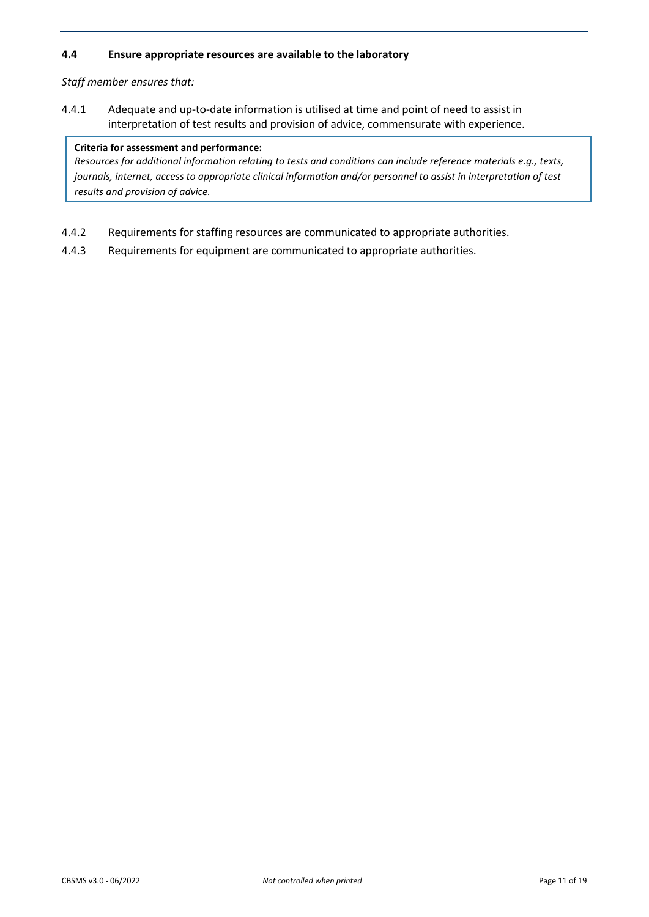# **4.4 Ensure appropriate resources are available to the laboratory**

*Staff member ensures that:*

4.4.1 Adequate and up-to-date information is utilised at time and point of need to assist in interpretation of test results and provision of advice, commensurate with experience.

## **Criteria for assessment and performance:**

*Resources for additional information relating to tests and conditions can include reference materials e.g., texts, journals, internet, access to appropriate clinical information and/or personnel to assist in interpretation of test results and provision of advice.*

- 4.4.2 Requirements for staffing resources are communicated to appropriate authorities.
- 4.4.3 Requirements for equipment are communicated to appropriate authorities.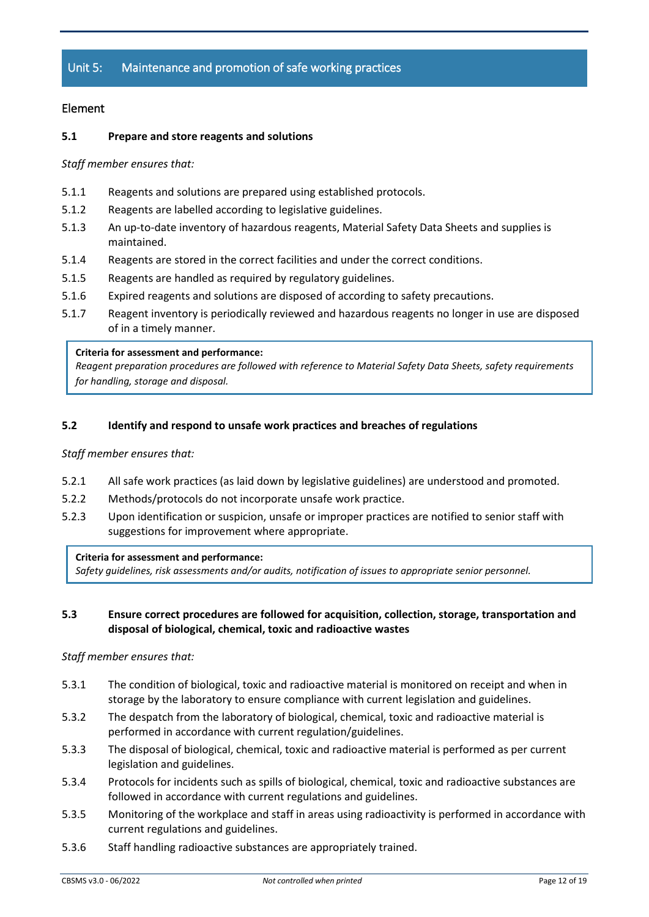# Unit 5: Maintenance and promotion of safe working practices

# Element

# **5.1 Prepare and store reagents and solutions**

*Staff member ensures that:*

- 5.1.1 Reagents and solutions are prepared using established protocols.
- 5.1.2 Reagents are labelled according to legislative guidelines.
- 5.1.3 An up-to-date inventory of hazardous reagents, Material Safety Data Sheets and supplies is maintained.
- 5.1.4 Reagents are stored in the correct facilities and under the correct conditions.
- 5.1.5 Reagents are handled as required by regulatory guidelines.
- 5.1.6 Expired reagents and solutions are disposed of according to safety precautions.
- 5.1.7 Reagent inventory is periodically reviewed and hazardous reagents no longer in use are disposed of in a timely manner.

#### **Criteria for assessment and performance:**

*Reagent preparation procedures are followed with reference to Material Safety Data Sheets, safety requirements for handling, storage and disposal.*

## **5.2 Identify and respond to unsafe work practices and breaches of regulations**

*Staff member ensures that:*

- 5.2.1 All safe work practices (as laid down by legislative guidelines) are understood and promoted.
- 5.2.2 Methods/protocols do not incorporate unsafe work practice.
- 5.2.3 Upon identification or suspicion, unsafe or improper practices are notified to senior staff with suggestions for improvement where appropriate.

#### **Criteria for assessment and performance:**

*Safety guidelines, risk assessments and/or audits, notification of issues to appropriate senior personnel.*

# **5.3 Ensure correct procedures are followed for acquisition, collection, storage, transportation and disposal of biological, chemical, toxic and radioactive wastes**

- 5.3.1 The condition of biological, toxic and radioactive material is monitored on receipt and when in storage by the laboratory to ensure compliance with current legislation and guidelines.
- 5.3.2 The despatch from the laboratory of biological, chemical, toxic and radioactive material is performed in accordance with current regulation/guidelines.
- 5.3.3 The disposal of biological, chemical, toxic and radioactive material is performed as per current legislation and guidelines.
- 5.3.4 Protocols for incidents such as spills of biological, chemical, toxic and radioactive substances are followed in accordance with current regulations and guidelines.
- 5.3.5 Monitoring of the workplace and staff in areas using radioactivity is performed in accordance with current regulations and guidelines.
- 5.3.6 Staff handling radioactive substances are appropriately trained.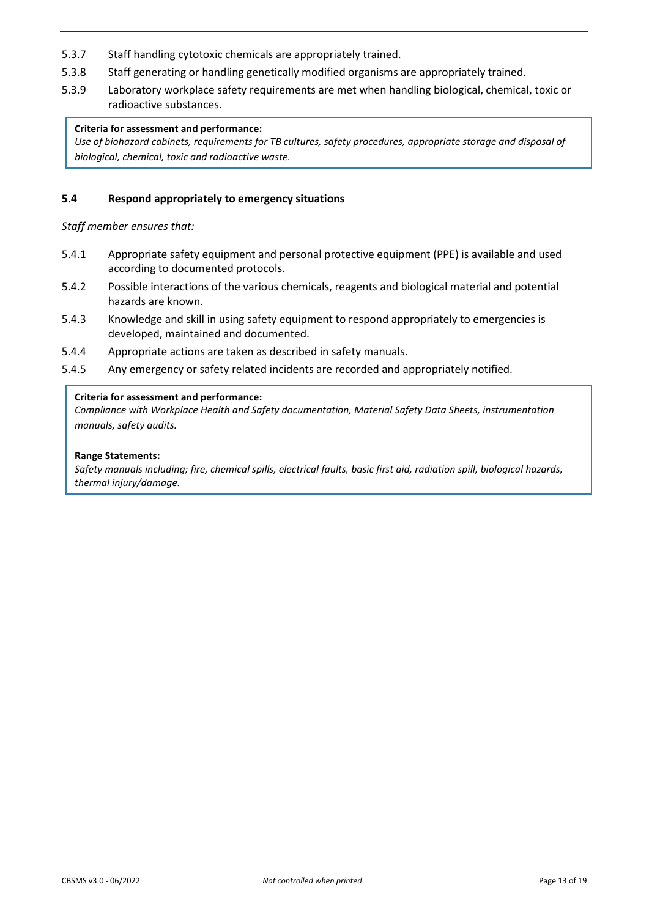- 5.3.7 Staff handling cytotoxic chemicals are appropriately trained.
- 5.3.8 Staff generating or handling genetically modified organisms are appropriately trained.
- 5.3.9 Laboratory workplace safety requirements are met when handling biological, chemical, toxic or radioactive substances.

# **Criteria for assessment and performance:**

*Use of biohazard cabinets, requirements for TB cultures, safety procedures, appropriate storage and disposal of biological, chemical, toxic and radioactive waste.*

# **5.4 Respond appropriately to emergency situations**

*Staff member ensures that:*

- 5.4.1 Appropriate safety equipment and personal protective equipment (PPE) is available and used according to documented protocols.
- 5.4.2 Possible interactions of the various chemicals, reagents and biological material and potential hazards are known.
- 5.4.3 Knowledge and skill in using safety equipment to respond appropriately to emergencies is developed, maintained and documented.
- 5.4.4 Appropriate actions are taken as described in safety manuals.
- 5.4.5 Any emergency or safety related incidents are recorded and appropriately notified.

#### **Criteria for assessment and performance:**

*Compliance with Workplace Health and Safety documentation, Material Safety Data Sheets, instrumentation manuals, safety audits.*

#### **Range Statements:**

*Safety manuals including; fire, chemical spills, electrical faults, basic first aid, radiation spill, biological hazards, thermal injury/damage.*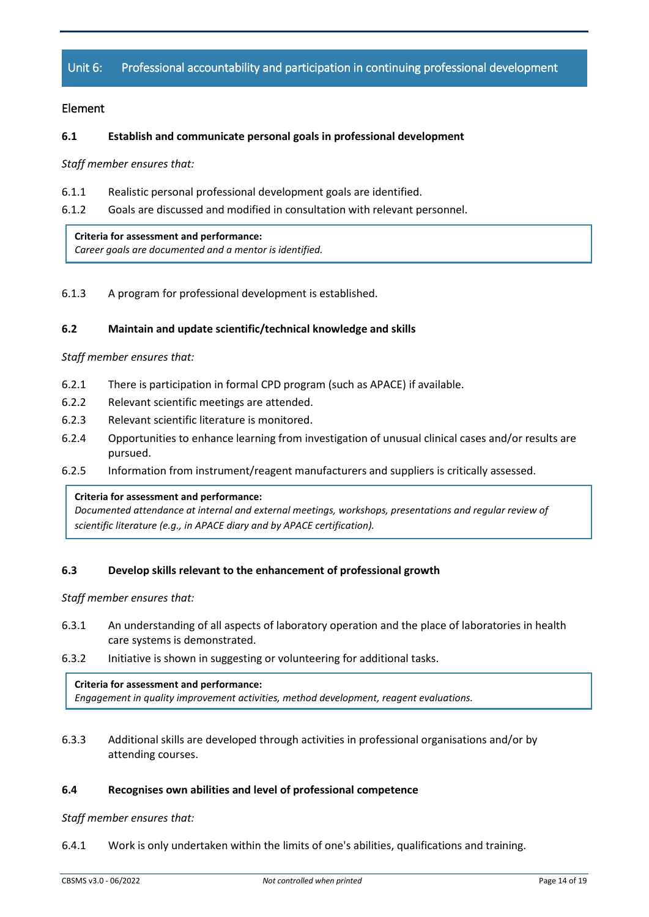# Unit 6: Professional accountability and participation in continuing professional development

# Element

## **6.1 Establish and communicate personal goals in professional development**

*Staff member ensures that:*

- 6.1.1 Realistic personal professional development goals are identified.
- 6.1.2 Goals are discussed and modified in consultation with relevant personnel.

#### **Criteria for assessment and performance:**

*Career goals are documented and a mentor is identified.*

6.1.3 A program for professional development is established.

## **6.2 Maintain and update scientific/technical knowledge and skills**

#### *Staff member ensures that:*

- 6.2.1 There is participation in formal CPD program (such as APACE) if available.
- 6.2.2 Relevant scientific meetings are attended.
- 6.2.3 Relevant scientific literature is monitored.
- 6.2.4 Opportunities to enhance learning from investigation of unusual clinical cases and/or results are pursued.
- 6.2.5 Information from instrument/reagent manufacturers and suppliers is critically assessed.

#### **Criteria for assessment and performance:**

*Documented attendance at internal and external meetings, workshops, presentations and regular review of scientific literature (e.g., in APACE diary and by APACE certification).*

# **6.3 Develop skills relevant to the enhancement of professional growth**

*Staff member ensures that:*

- 6.3.1 An understanding of all aspects of laboratory operation and the place of laboratories in health care systems is demonstrated.
- 6.3.2 Initiative is shown in suggesting or volunteering for additional tasks.

#### **Criteria for assessment and performance:**

*Engagement in quality improvement activities, method development, reagent evaluations.*

6.3.3 Additional skills are developed through activities in professional organisations and/or by attending courses.

#### **6.4 Recognises own abilities and level of professional competence**

#### *Staff member ensures that:*

6.4.1 Work is only undertaken within the limits of one's abilities, qualifications and training.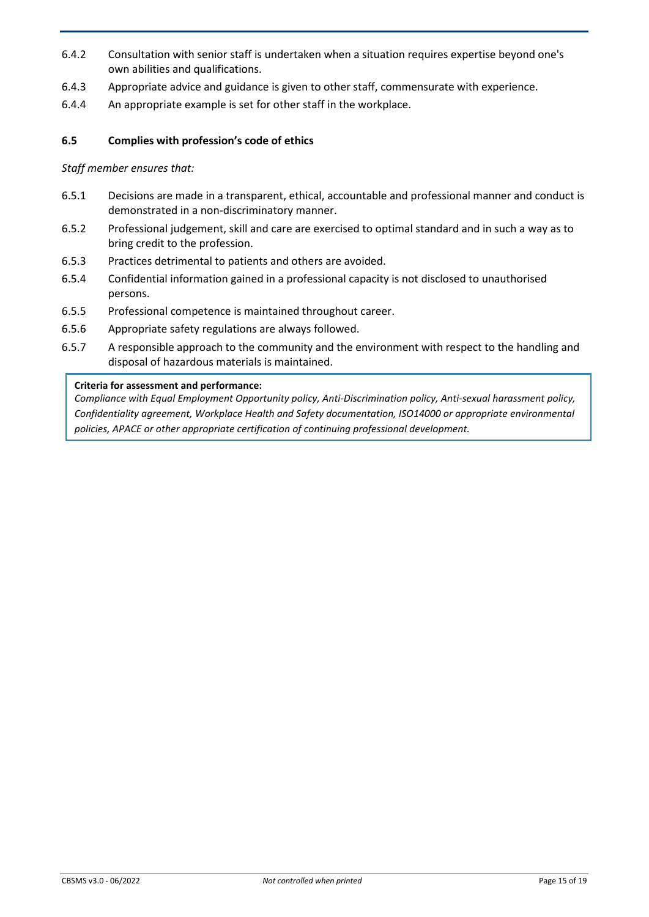- 6.4.2 Consultation with senior staff is undertaken when a situation requires expertise beyond one's own abilities and qualifications.
- 6.4.3 Appropriate advice and guidance is given to other staff, commensurate with experience.
- 6.4.4 An appropriate example is set for other staff in the workplace.

# **6.5 Complies with profession's code of ethics**

*Staff member ensures that:*

- 6.5.1 Decisions are made in a transparent, ethical, accountable and professional manner and conduct is demonstrated in a non-discriminatory manner.
- 6.5.2 Professional judgement, skill and care are exercised to optimal standard and in such a way as to bring credit to the profession.
- 6.5.3 Practices detrimental to patients and others are avoided.
- 6.5.4 Confidential information gained in a professional capacity is not disclosed to unauthorised persons.
- 6.5.5 Professional competence is maintained throughout career.
- 6.5.6 Appropriate safety regulations are always followed.
- 6.5.7 A responsible approach to the community and the environment with respect to the handling and disposal of hazardous materials is maintained.

#### **Criteria for assessment and performance:**

*Compliance with Equal Employment Opportunity policy, Anti-Discrimination policy, Anti-sexual harassment policy, Confidentiality agreement, Workplace Health and Safety documentation, ISO14000 or appropriate environmental policies, APACE or other appropriate certification of continuing professional development.*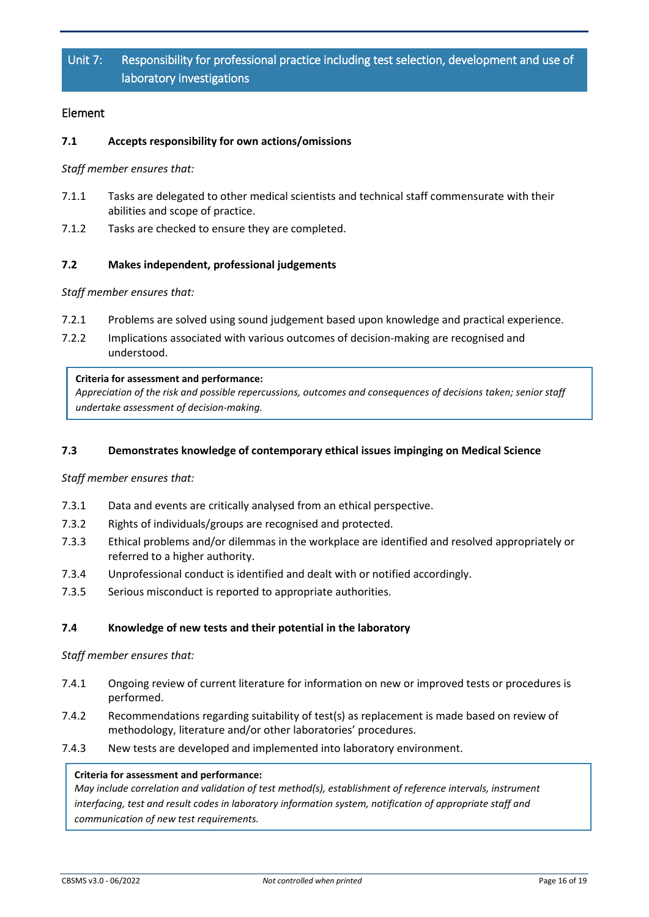# Unit 7: Responsibility for professional practice including test selection, development and use of laboratory investigations

# Element

# **7.1 Accepts responsibility for own actions/omissions**

*Staff member ensures that:*

- 7.1.1 Tasks are delegated to other medical scientists and technical staff commensurate with their abilities and scope of practice.
- 7.1.2 Tasks are checked to ensure they are completed.

# **7.2 Makes independent, professional judgements**

*Staff member ensures that:*

- 7.2.1 Problems are solved using sound judgement based upon knowledge and practical experience.
- 7.2.2 Implications associated with various outcomes of decision-making are recognised and understood.

#### **Criteria for assessment and performance:**

*Appreciation of the risk and possible repercussions, outcomes and consequences of decisions taken; senior staff undertake assessment of decision-making.*

# **7.3 Demonstrates knowledge of contemporary ethical issues impinging on Medical Science**

*Staff member ensures that:*

- 7.3.1 Data and events are critically analysed from an ethical perspective.
- 7.3.2 Rights of individuals/groups are recognised and protected.
- 7.3.3 Ethical problems and/or dilemmas in the workplace are identified and resolved appropriately or referred to a higher authority.
- 7.3.4 Unprofessional conduct is identified and dealt with or notified accordingly.
- 7.3.5 Serious misconduct is reported to appropriate authorities.

# **7.4 Knowledge of new tests and their potential in the laboratory**

*Staff member ensures that:*

- 7.4.1 Ongoing review of current literature for information on new or improved tests or procedures is performed.
- 7.4.2 Recommendations regarding suitability of test(s) as replacement is made based on review of methodology, literature and/or other laboratories' procedures.
- 7.4.3 New tests are developed and implemented into laboratory environment.

# **Criteria for assessment and performance:**

*May include correlation and validation of test method(s), establishment of reference intervals, instrument interfacing, test and result codes in laboratory information system, notification of appropriate staff and communication of new test requirements.*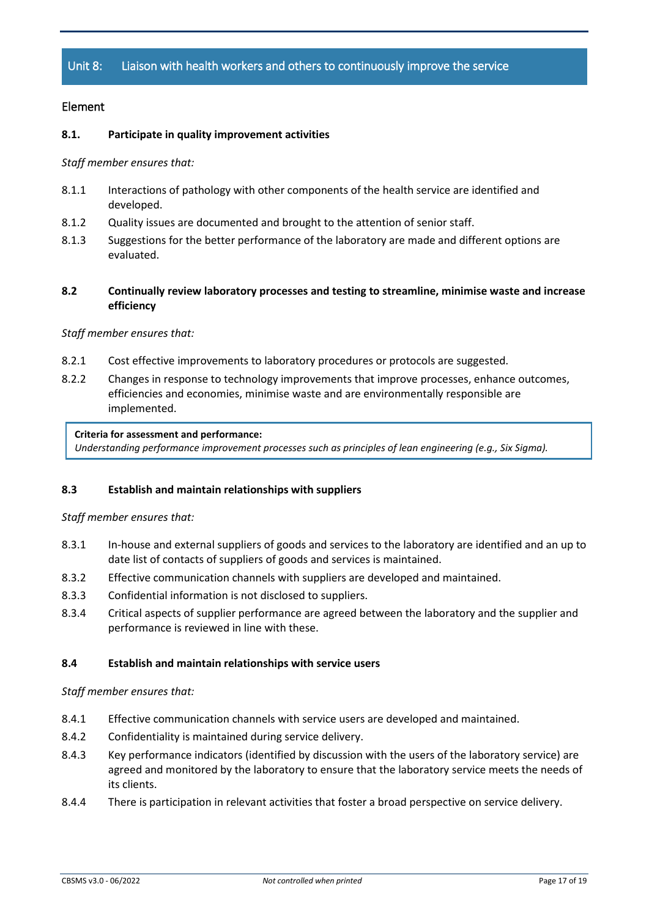# Unit 8: Liaison with health workers and others to continuously improve the service

# Element

## **8.1. Participate in quality improvement activities**

*Staff member ensures that:*

- 8.1.1 Interactions of pathology with other components of the health service are identified and developed.
- 8.1.2 Quality issues are documented and brought to the attention of senior staff.
- 8.1.3 Suggestions for the better performance of the laboratory are made and different options are evaluated.
- **8.2 Continually review laboratory processes and testing to streamline, minimise waste and increase efficiency**

#### *Staff member ensures that:*

- 8.2.1 Cost effective improvements to laboratory procedures or protocols are suggested.
- 8.2.2 Changes in response to technology improvements that improve processes, enhance outcomes, efficiencies and economies, minimise waste and are environmentally responsible are implemented.

#### **Criteria for assessment and performance:**

*Understanding performance improvement processes such as principles of lean engineering (e.g., Six Sigma).*

#### **8.3 Establish and maintain relationships with suppliers**

#### *Staff member ensures that:*

- 8.3.1 In-house and external suppliers of goods and services to the laboratory are identified and an up to date list of contacts of suppliers of goods and services is maintained.
- 8.3.2 Effective communication channels with suppliers are developed and maintained.
- 8.3.3 Confidential information is not disclosed to suppliers.
- 8.3.4 Critical aspects of supplier performance are agreed between the laboratory and the supplier and performance is reviewed in line with these.

#### **8.4 Establish and maintain relationships with service users**

- 8.4.1 Effective communication channels with service users are developed and maintained.
- 8.4.2 Confidentiality is maintained during service delivery.
- 8.4.3 Key performance indicators (identified by discussion with the users of the laboratory service) are agreed and monitored by the laboratory to ensure that the laboratory service meets the needs of its clients.
- 8.4.4 There is participation in relevant activities that foster a broad perspective on service delivery.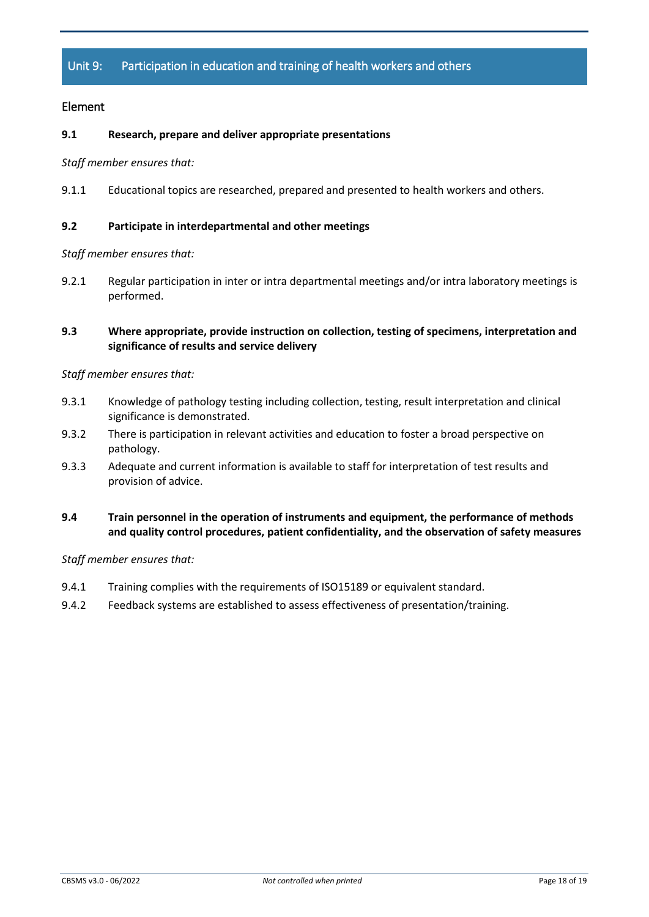# Unit 9: Participation in education and training of health workers and others

# Element

## **9.1 Research, prepare and deliver appropriate presentations**

*Staff member ensures that:*

9.1.1 Educational topics are researched, prepared and presented to health workers and others.

#### **9.2 Participate in interdepartmental and other meetings**

*Staff member ensures that:*

9.2.1 Regular participation in inter or intra departmental meetings and/or intra laboratory meetings is performed.

# **9.3 Where appropriate, provide instruction on collection, testing of specimens, interpretation and significance of results and service delivery**

#### *Staff member ensures that:*

- 9.3.1 Knowledge of pathology testing including collection, testing, result interpretation and clinical significance is demonstrated.
- 9.3.2 There is participation in relevant activities and education to foster a broad perspective on pathology.
- 9.3.3 Adequate and current information is available to staff for interpretation of test results and provision of advice.

# **9.4 Train personnel in the operation of instruments and equipment, the performance of methods and quality control procedures, patient confidentiality, and the observation of safety measures**

- 9.4.1 Training complies with the requirements of ISO15189 or equivalent standard.
- 9.4.2 Feedback systems are established to assess effectiveness of presentation/training.